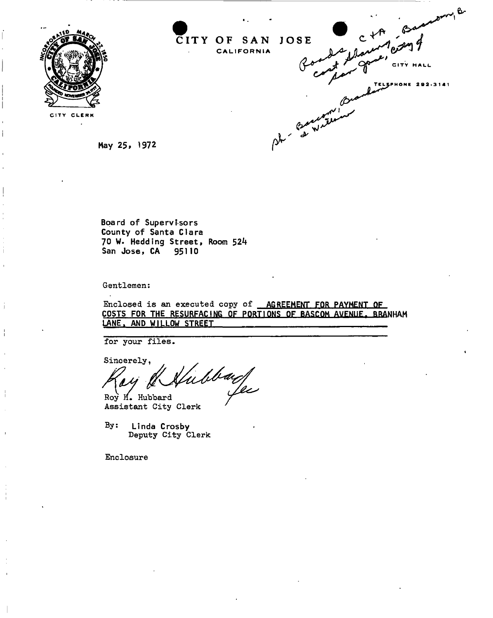

b CITY OF SAN JOSE CALIFORNIA CITY HA ĒĽ. **PHONE 292-3141** Baccampoon

CITY CLERK  $\ddot{\phantom{a}}$ 

May 25, 1972

**Board o f Supervisor s County of Santa Clara 70 W. Hedding Street, Room 524 San Jose, CA 95110** 

**Gentlemen:** 

**Enclosed is an executed copy of AGREEMENT FOR PAYMENT OF COSTS FOR THE RESURFACING OF PORTIONS OF** BASTOM AVENUE. RRANHAM LANE, AND WILLOW STREET

**for your files** 

**Sincerely,**  ubbard *fa* 

**Roy H. Hubbard Assistant City Clerk** 

**By: Linda Crosby Deputy City Clerk** 

**Enclosure**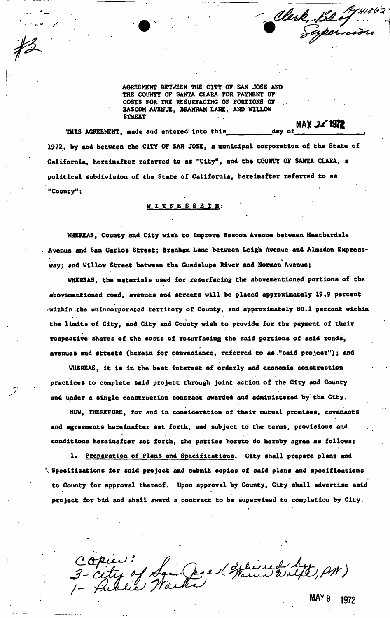**AGREEMENT BETWEEN THE CITY OF SAN JOSE AND THE COUNTY OF SANTA CLARA FOR PAYMENT OF COSTS FOR THE RESURFACING OF PORTIONS OF BASCOM AVENUE, BRANHAM LANE, AND WILLOW STREET** 

 $\frac{1}{\text{day of}}$  MAY 21 1972 THIS AGREEMENT, made and entered into this\_ 1972, by and between the CITY OF SAN JOSE, a municipal corporation of the State of **1972, by and between the CITY OF SAN JOSE, a municipal corporation of the State of California, hereinafter referred to as "City", and the COUNTY OF SANTA CLARA, a**  political subdivision of the State of California, hereinafter referred to as **political subdivision of the State of California, hereinafter referred to as**  "County";

> WITNESSETH: **WITNESSETH :**

**"County";** 

**WHEREAS, County and City wish to improve Bascom Avenue between Heatherdale Avenue and San Carlos Street; Branham Lane between Leigh Avenue and Almaden Express** way; and Willow Street between the Guadalupe River and Norman Avenue;

**way; and Willow Street between the Guadalupe River .and Norman Avenue; WHEREAS, the materials used for resurfacing the abovementioned portions of the**  abovementioned road, avenues and streets will be placed approximately 19.9 percent **abovementioned road, avenues and streets will be placed approximately 19.9 percent**  -within the unincorporated territory of County, and approximately 80.1 percent within **-within the unincorporated territory of County, and approximately 80.1 percent within the limit8 of City, and City and County wish to provide for the payment of their respective shares of the costs of resurfacing the said portions of said roads,**  avenues and streets (herein for convenience, referred to as "said project"); and

**WHEREAS, it is in the best interest of orderly and economic construction**  practices to complete said project through joint action of the City and County **practices to complete said project through joint action of the City and County**  and under a single construction contract awarded and administered by the City.

**avenues and streets (herein for convenience, referred to as ."said project"); and** 

**and under a single construction contract awarded and administered by' the City. NOW, THEREFORE, for and in consideration of their mutual promises, covenants**  and agreements hereinafter set forth, and subject to the terms, provisions and **and agreements hereinafter set forth, and subject to the terms, provisions and**  conditions hereinafter set forth, the patties hereto do hereby agree as follows: **conditions hereinafter set forth, the patties hereto do hereby agree as follows:** 

1. Preparation of Plans and Specifications. City shall prepare plans and **1. Preparation of Plans and Specifications. City shall prepare plans and**  '. Specifications for said project and submit copies of said plans and specifications **\ Specifications for said project and submit copies of said plans and specifications to County for approval thereof. Upon approval by County, City shall advertise said**  project for bid and shall award a contract to be supervised to completion by City.

**project for bid and shall award a contract to be supervised to completion by City.** 

Opier:<br>- City of San Jack Spierre Wilt, PM)

Clerk, Bastywood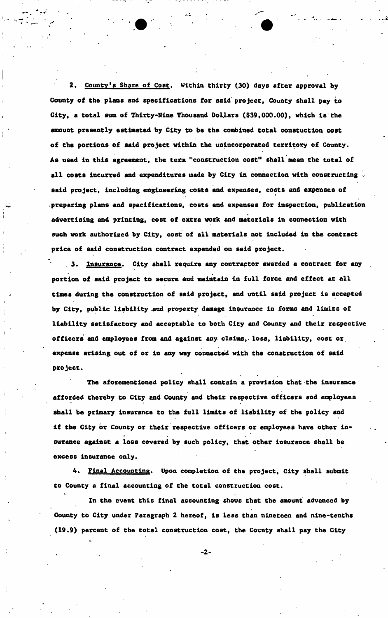**2. County's Share of Cost. Within thirty (30) days after approval by County of the plans and specifications for ssid project, County shall pay to City, a total sum of Thirty-Nine Thousand Dollars (\$39,000.00), which is the**  amount presently estimated by City to be the combined total constuction cost **of the portions of said project within the unincorporated territory of County. As used in this agreement, the term "construction cost" shall mean the total of all costs incurred and expenditures made by City in connection with constructing . said project, including engineering costs and expenses, costs and expenses of preparing plans and specifications, costs and expenses for inspection, publication advertising and printing, cost of extra work and materials in connection with such work authorised by City, cost of all materials not included in the contract price of said construction contract expended on said project.** 

. 3. Insurance. City shall require any contractor awarded a contract for any **portion of said project to secure and maintain in full force and effect at all**  times during the construction of said project, and until said project is accepted **by City, public liability .and property damage insurance in forms and limits of liability satisfactory and acceptable to both City and County and their respective officers and employees from and against any. claims,, loss, liability, cost or expense arising out of or in any way connected with the construction of said project.** 

**The aforementioned policy shall contain a provision that the insurance afforded thereby to City and County and their respective officers and employees shall be primary insurance to the full limits of liability of the policy and If the City or County or their respective officers or employees have other in-** • en el segundo de la construcción de la construcción de la construcción de la construcción de la construcción **surance against a loss covered by such policy, that other insurance shall be excess Insurance only.** 

**4. Final Accounting. Upon completion of the project, City shall 6ubmit to County a final accounting of the total construction cost.** 

**In the event this final accounting shows that the amount advanced by County to City under Paragraph 2 hereof, is less than nineteen and nine-tenths (19.9) percent of the total construction cost, the County shall pay the City** 

 $-2-$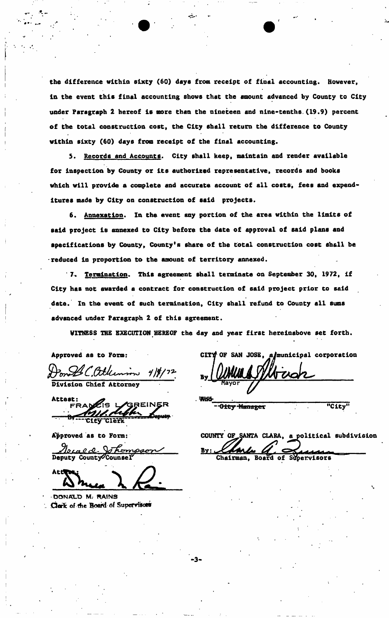**the difference within sixty (60) days from receipt of final accounting. However, In the event this final accounting shows that the amount advanced by County to City under Paragraph 2 hereof is more than the nineteen and nine-tenths.(19.9) percent of the total construction cost, the City shall return the difference to County within sixty (60) days from receipt of the final accounting.** 

**5. Records and Accounts. City shall keep, maintain and render available for inspection by County or its authorised representative, records and books which will provide a complete and accurate account of all costs, fees and expenditures made by City on construction of said projects.** 

**6. Annexation. In the event any portion of the area within the limits of said project is annexed to City before the date of approval of said plans and specifications by County, County's share of the total construction cost shall be reduced in proportion to the amount of territory annexed.** 

**7. Termination. This agreement shall terminate on September 30, 1972, if City ha8 not awarded a contract for construction of said project prior to said date. In the event of such termination, City shall refund to County all sums advanced under Paragraph 2 of this agreement.** 

**WITNESS THE EXECUTION HEREOF the day and year first hereinabove set forth.** 

Approved as to Form:

Don LL, atlumin 4/\$/72.<br>Division Chief Attorney

Attest: FRANCIS L GREINER

**Approved as to Form:** 

Teraed Johompa Deputy County Counsel

DONALD M. RAINS Clark of the Board of Supervisors

CITY OF SAN JOSE. a/municipal corporation

•

**"City"** 

-Gity Manager

COUNTY OF SANTA CLARA, a political subdivision Bν Chairman, Board of Supervisors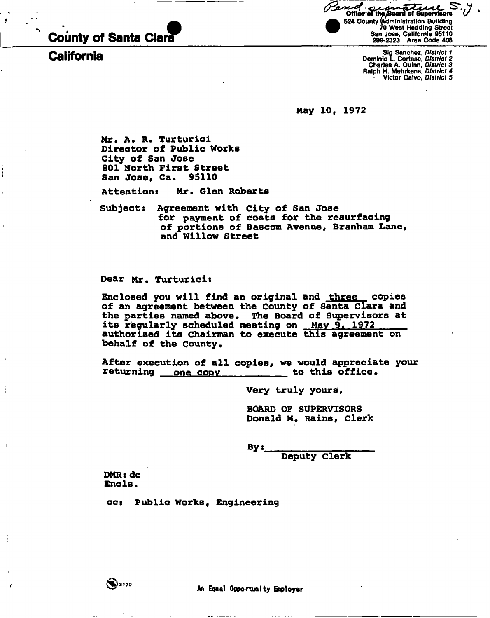

California

**Office of the Board of Supervisors** 524 County Administration Building 70 West Hedding Street San Jose, California 95110 299-2323 Area Code 408

> Sig Sanchez, *District 1*  Dominic I. Cortese, *District 2*  Charles A. Quinn, *District 3*  Ralph H. Mehrkens, *District 4*  • Victor Caivo, *District* 5

**May 10c 1972** 

**Mr. A. R. Turturici Director of Public Works City of San Jose 801 North First Street San Jose, Ca. 95110** 

**Attentions Mr. Glen Roberts** 

**Subject: Agreement with City of San Jose for payment of costs for the resurfacing**  of portions of Bascom Avenue, Branham Lane, **and Willow Street** 

**Dear Mr. Turturici:** 

**Enclosed you will find an original and three copies of an agreement between the County of Santa Clara and the parties named above. The Board of Supervisors at its regularly scheduled meeting on May 9, 1972 authorized its Chairman to execute this agreement on behalf of the County.** 

**After execution of all copies, we would appreciate your**  returning one copy subsets to this office.

**Very truly yours,** 

**BOARD OF SUPERVISORS Donald M. Rains, Clerk** 

**By t** 

**Deputy Clerk** 

**DMR: dc**  Encls.

**ccs Public Works, Engineering**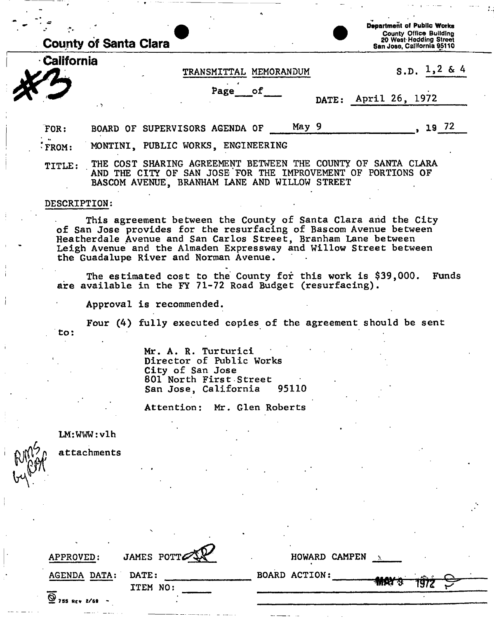| <b>County of Santa Clara</b> | Department of Public Works<br><b>County Office Building</b><br>20 West Hedding Street<br>San Jose, California 95110 |                                                                                         |    |       |                                                                             |  |  |  |
|------------------------------|---------------------------------------------------------------------------------------------------------------------|-----------------------------------------------------------------------------------------|----|-------|-----------------------------------------------------------------------------|--|--|--|
| <b>California</b>            |                                                                                                                     | <b>TRANSMITTAL</b><br>MEMORANDUM                                                        |    |       | S.D. $1,2$ & 4                                                              |  |  |  |
|                              | чŅ.                                                                                                                 | Page                                                                                    | оf | DATE: | April 26, 1972                                                              |  |  |  |
| FOR:                         |                                                                                                                     | BOARD OF SUPERVISORS AGENDA OF                                                          |    | May 9 | 19 72                                                                       |  |  |  |
| $k$ FROM:                    | MONTINI, PUBLIC WORKS, ENGINEERING                                                                                  |                                                                                         |    |       |                                                                             |  |  |  |
| TITLE:                       |                                                                                                                     | AND THE CITY OF SAN JOSE FOR THE IMPROVEMENT OF<br>הההההה וזה ודדון הזון הווגד /ווזוווה |    |       | THE COST SHARING AGREEMENT BETWEEN THE COUNTY OF SANTA CLARA<br>PORTIONS OF |  |  |  |

## DESCRIPTION:

This agreement between the County of Santa Clara and the City of San Jose provides for the resurfacing of Bascom Avenue between Heatherdale Avenue and San Carlos Street, Branham Lane between Leigh Avenue and the Almaden Expressway and Willow Street between the Guadalupe River and Norman Avenue.

BASCOM AVENUE, BRANHAM LANE AND WILLOW STREET

The estimated cost to the County for this work is \$39,000. Funds are available in the FY 71-72 Road Budget (resurfacing).

Approval is recommended.

Four (4) fully executed copies of the agreement should be sent to:

> Mr. A. R. Turturici Director of Public Works City of San Jose 801 North First Street<br>San Jose, California 95110 San Jose, California

> Attention: Mr. Glen Roberts

LM:WWW: vlh

attachments

| JAMES POTT<br>APPROVED:                         | HOWARD CAMPEN        |              |             |  |
|-------------------------------------------------|----------------------|--------------|-------------|--|
| <b>AGENDA DATA:</b><br><b>DATE:</b><br>ITEM NO: | <b>BOARD ACTION:</b> | <b>MAY 3</b> | <u>an e</u> |  |